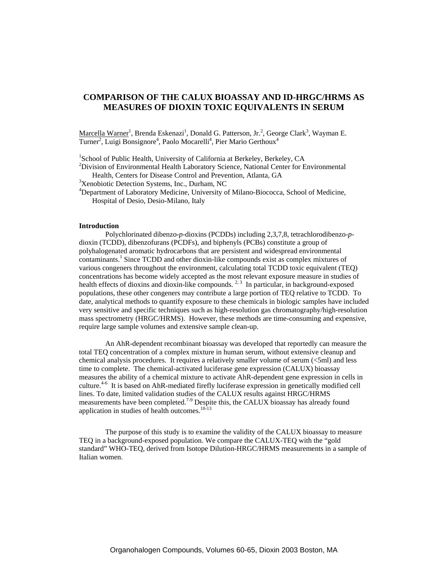# **COMPARISON OF THE CALUX BIOASSAY AND ID-HRGC/HRMS AS MEASURES OF DIOXIN TOXIC EQUIVALENTS IN SERUM**

Marcella Warner<sup>1</sup>, Brenda Eskenazi<sup>1</sup>, Donald G. Patterson, Jr.<sup>2</sup>, George Clark<sup>3</sup>, Wayman E. Turner<sup>2</sup>, Luigi Bonsignore<sup>4</sup>, Paolo Mocarelli<sup>4</sup>, Pier Mario Gerthoux<sup>4</sup>

<sup>1</sup>School of Public Health, University of California at Berkeley, Berkeley, CA<br><sup>2</sup>Division of Environmental Health Laboratory Science, National Center for E

 $<sup>2</sup>Division of Environmental Health Laboratory Science, National Center for Environmental$ </sup> Health, Centers for Disease Control and Prevention, Atlanta, GA <sup>3</sup>

<sup>3</sup>Xenobiotic Detection Systems, Inc., Durham, NC

<sup>4</sup>Department of Laboratory Medicine, University of Milano-Biococca, School of Medicine, Hospital of Desio, Desio-Milano, Italy

#### **Introduction**

Polychlorinated dibenzo-*p*-dioxins (PCDDs) including 2,3,7,8, tetrachlorodibenzo-*p*dioxin (TCDD), dibenzofurans (PCDFs), and biphenyls (PCBs) constitute a group of polyhalogenated aromatic hydrocarbons that are persistent and widespread environmental contaminants.<sup>1</sup> Since TCDD and other dioxin-like compounds exist as complex mixtures of various congeners throughout the environment, calculating total TCDD toxic equivalent (TEQ) concentrations has become widely accepted as the most relevant exposure measure in studies of health effects of dioxins and dioxin-like compounds. <sup>2, 3</sup> In particular, in background-exposed populations, these other congeners may contribute a large portion of TEQ relative to TCDD. To date, analytical methods to quantify exposure to these chemicals in biologic samples have included very sensitive and specific techniques such as high-resolution gas chromatography/high-resolution mass spectrometry (HRGC/HRMS). However, these methods are time-consuming and expensive, require large sample volumes and extensive sample clean-up.

An AhR-dependent recombinant bioassay was developed that reportedly can measure the total TEQ concentration of a complex mixture in human serum, without extensive cleanup and chemical analysis procedures. It requires a relatively smaller volume of serum  $( $5$ ml) and less$ time to complete. The chemical-activated luciferase gene expression (CALUX) bioassay measures the ability of a chemical mixture to activate AhR-dependent gene expression in cells in culture.4-6 It is based on AhR-mediated firefly luciferase expression in genetically modified cell lines. To date, limited validation studies of the CALUX results against HRGC/HRMS measurements have been completed.<sup>7-9</sup> Despite this, the CALUX bioassay has already found application in studies of health outcomes.<sup>10-13</sup>

The purpose of this study is to examine the validity of the CALUX bioassay to measure TEQ in a background-exposed population. We compare the CALUX-TEQ with the "gold standard" WHO-TEQ, derived from Isotope Dilution-HRGC/HRMS measurements in a sample of Italian women.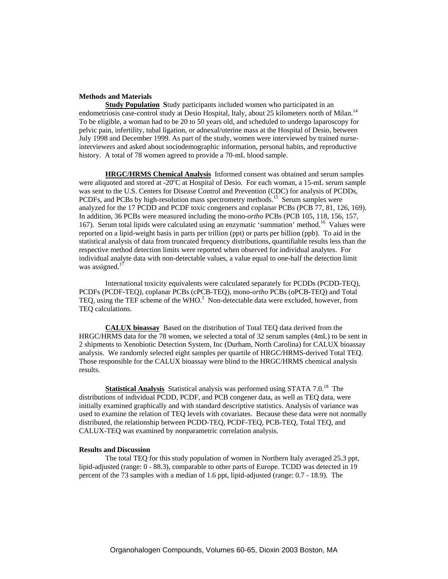### **Methods and Materials**

**Study Population** Study participants included women who participated in an endometriosis case-control study at Desio Hospital, Italy, about 25 kilometers north of Milan.<sup>14</sup> To be eligible, a woman had to be 20 to 50 years old, and scheduled to undergo laparoscopy for pelvic pain, infertility, tubal ligation, or adnexal/uterine mass at the Hospital of Desio, between July 1998 and December 1999. As part of the study, women were interviewed by trained nurseinterviewers and asked about sociodemographic information, personal habits, and reproductive history. A total of 78 women agreed to provide a 70-mL blood sample.

**HRGC/HRMS Chemical Analysis** Informed consent was obtained and serum samples were aliquoted and stored at -20°C at Hospital of Desio. For each woman, a 15-mL serum sample was sent to the U.S. Centers for Disease Control and Prevention (CDC) for analysis of PCDDs, PCDFs, and PCBs by high-resolution mass spectrometry methods.<sup>15</sup> Serum samples were analyzed for the 17 PCDD and PCDF toxic congeners and coplanar PCBs (PCB 77, 81, 126, 169). In addition, 36 PCBs were measured including the mono-*ortho* PCBs (PCB 105, 118, 156, 157, 167). Serum total lipids were calculated using an enzymatic 'summation' method. 16 Values were reported on a lipid-weight basis in parts per trillion (ppt) or parts per billion (ppb). To aid in the statistical analysis of data from truncated frequency distributions, quantifiable results less than the respective method detection limits were reported when observed for individual analytes. For individual analyte data with non-detectable values, a value equal to one-half the detection limit was assigned. $<sup>1</sup>$ </sup>

International toxicity equivalents were calculated separately for PCDDs (PCDD-TEQ), PCDFs (PCDF-TEQ), coplanar PCBs (cPCB-TEQ), mono-*ortho* PCBs (oPCB-TEQ) and Total TEQ, using the TEF scheme of the WHO. $^{2}$  Non-detectable data were excluded, however, from TEQ calculations.

**CALUX bioassay** Based on the distribution of Total TEQ data derived from the HRGC/HRMS data for the 78 women, we selected a total of 32 serum samples (4mL) to be sent in 2 shipments to Xenobiotic Detection System, Inc (Durham, North Carolina) for CALUX bioassay analysis. We randomly selected eight samples per quartile of HRGC/HRMS-derived Total TEQ. Those responsible for the CALUX bioassay were blind to the HRGC/HRMS chemical analysis results.

**Statistical Analysis** Statistical analysis was performed using STATA 7.0.<sup>18</sup> The distributions of individual PCDD, PCDF, and PCB congener data, as well as TEQ data, were initially examined graphically and with standard descriptive statistics. Analysis of variance was used to examine the relation of TEQ levels with covariates. Because these data were not normally distributed, the relationship between PCDD-TEQ, PCDF-TEQ, PCB-TEQ, Total TEQ, and CALUX-TEQ was examined by nonparametric correlation analysis.

## **Results and Discussion**

The total TEQ for this study population of women in Northern Italy averaged 25.3 ppt, lipid-adjusted (range: 0 - 88.3), comparable to other parts of Europe. TCDD was detected in 19 percent of the 73 samples with a median of 1.6 ppt, lipid-adjusted (range: 0.7 - 18.9). The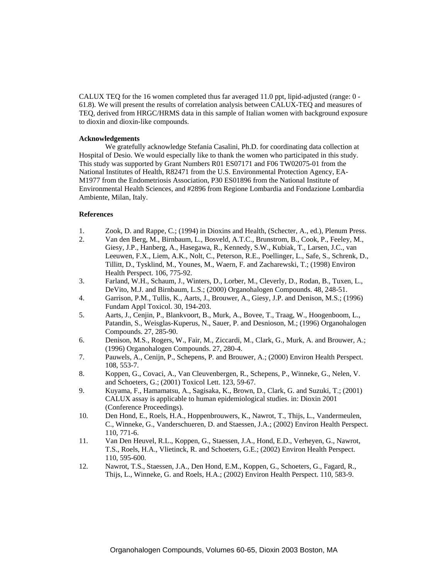CALUX TEQ for the 16 women completed thus far averaged 11.0 ppt, lipid-adjusted (range: 0 - 61.8). We will present the results of correlation analysis between CALUX-TEQ and measures of TEQ, derived from HRGC/HRMS data in this sample of Italian women with background exposure to dioxin and dioxin-like compounds.

#### **Acknowledgements**

We gratefully acknowledge Stefania Casalini, Ph.D. for coordinating data collection at Hospital of Desio. We would especially like to thank the women who participated in this study. This study was supported by Grant Numbers R01 ES07171 and F06 TW02075-01 from the National Institutes of Health, R82471 from the U.S. Environmental Protection Agency, EA-M1977 from the Endometriosis Association, P30 ES01896 from the National Institute of Environmental Health Sciences, and #2896 from Regione Lombardia and Fondazione Lombardia Ambiente, Milan, Italy.

## **References**

- 1. Zook, D. and Rappe, C.; (1994) in Dioxins and Health, (Schecter, A., ed.), Plenum Press.
- 2. Van den Berg, M., Birnbaum, L., Bosveld, A.T.C., Brunstrom, B., Cook, P., Feeley, M., Giesy, J.P., Hanberg, A., Hasegawa, R., Kennedy, S.W., Kubiak, T., Larsen, J.C., van Leeuwen, F.X., Liem, A.K., Nolt, C., Peterson, R.E., Poellinger, L., Safe, S., Schrenk, D., Tillitt, D., Tysklind, M., Younes, M., Waern, F. and Zacharewski, T.; (1998) Environ Health Perspect. 106, 775-92.
- 3. Farland, W.H., Schaum, J., Winters, D., Lorber, M., Cleverly, D., Rodan, B., Tuxen, L., DeVito, M.J. and Birnbaum, L.S.; (2000) Organohalogen Compounds. 48, 248-51.
- 4. Garrison, P.M., Tullis, K., Aarts, J., Brouwer, A., Giesy, J.P. and Denison, M.S.; (1996) Fundam Appl Toxicol. 30, 194-203.
- 5. Aarts, J., Cenjin, P., Blankvoort, B., Murk, A., Bovee, T., Traag, W., Hoogenboom, L., Patandin, S., Weisglas-Kuperus, N., Sauer, P. and Desnioson, M.; (1996) Organohalogen Compounds. 27, 285-90.
- 6. Denison, M.S., Rogers, W., Fair, M., Ziccardi, M., Clark, G., Murk, A. and Brouwer, A.; (1996) Organohalogen Compounds. 27, 280-4.
- 7. Pauwels, A., Cenijn, P., Schepens, P. and Brouwer, A.; (2000) Environ Health Perspect. 108, 553-7.
- 8. Koppen, G., Covaci, A., Van Cleuvenbergen, R., Schepens, P., Winneke, G., Nelen, V. and Schoeters, G.; (2001) Toxicol Lett. 123, 59-67.
- 9. Kuyama, F., Hamamatsu, A., Sagisaka, K., Brown, D., Clark, G. and Suzuki, T.; (2001) CALUX assay is applicable to human epidemiological studies. in: Dioxin 2001 (Conference Proceedings).
- 10. Den Hond, E., Roels, H.A., Hoppenbrouwers, K., Nawrot, T., Thijs, L., Vandermeulen, C., Winneke, G., Vanderschueren, D. and Staessen, J.A.; (2002) Environ Health Perspect. 110, 771-6.
- 11. Van Den Heuvel, R.L., Koppen, G., Staessen, J.A., Hond, E.D., Verheyen, G., Nawrot, T.S., Roels, H.A., Vlietinck, R. and Schoeters, G.E.; (2002) Environ Health Perspect. 110, 595-600.
- 12. Nawrot, T.S., Staessen, J.A., Den Hond, E.M., Koppen, G., Schoeters, G., Fagard, R., Thijs, L., Winneke, G. and Roels, H.A.; (2002) Environ Health Perspect. 110, 583-9.